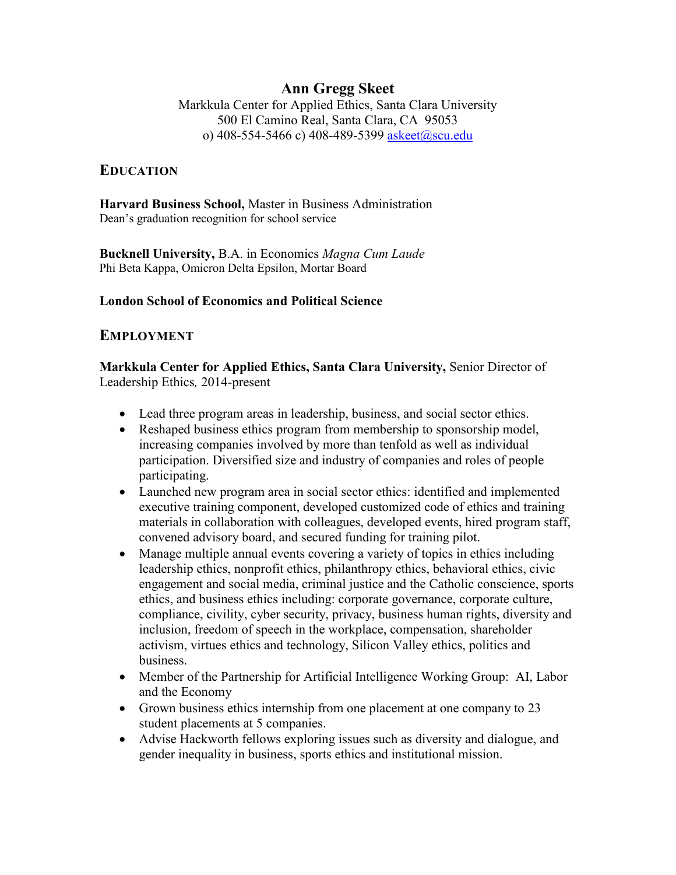## **Ann Gregg Skeet**

Markkula Center for Applied Ethics, Santa Clara University 500 El Camino Real, Santa Clara, CA 95053 o) 408-554-5466 c) 408-489-5399 [askeet@scu.edu](mailto:askeet@scu.edu)

#### **EDUCATION**

**Harvard Business School,** Master in Business Administration Dean's graduation recognition for school service

**Bucknell University,** B.A. in Economics *Magna Cum Laude*  Phi Beta Kappa, Omicron Delta Epsilon, Mortar Board

#### **London School of Economics and Political Science**

#### **EMPLOYMENT**

**Markkula Center for Applied Ethics, Santa Clara University,** Senior Director of Leadership Ethics*,* 2014-present

- Lead three program areas in leadership, business, and social sector ethics.
- Reshaped business ethics program from membership to sponsorship model, increasing companies involved by more than tenfold as well as individual participation. Diversified size and industry of companies and roles of people participating.
- Launched new program area in social sector ethics: identified and implemented executive training component, developed customized code of ethics and training materials in collaboration with colleagues, developed events, hired program staff, convened advisory board, and secured funding for training pilot.
- Manage multiple annual events covering a variety of topics in ethics including leadership ethics, nonprofit ethics, philanthropy ethics, behavioral ethics, civic engagement and social media, criminal justice and the Catholic conscience, sports ethics, and business ethics including: corporate governance, corporate culture, compliance, civility, cyber security, privacy, business human rights, diversity and inclusion, freedom of speech in the workplace, compensation, shareholder activism, virtues ethics and technology, Silicon Valley ethics, politics and business.
- Member of the Partnership for Artificial Intelligence Working Group: AI, Labor and the Economy
- Grown business ethics internship from one placement at one company to 23 student placements at 5 companies.
- Advise Hackworth fellows exploring issues such as diversity and dialogue, and gender inequality in business, sports ethics and institutional mission.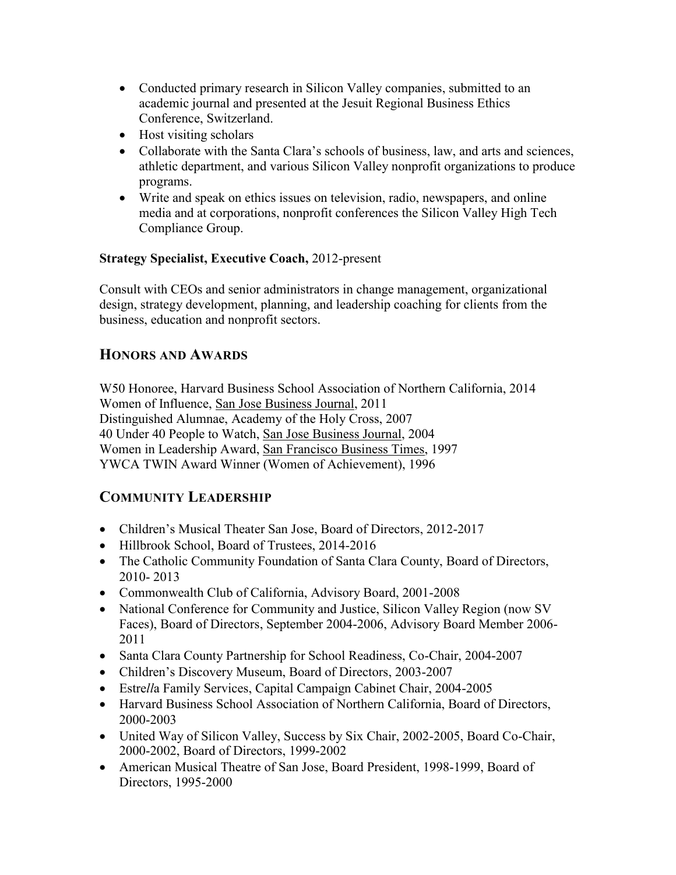- Conducted primary research in Silicon Valley companies, submitted to an academic journal and presented at the Jesuit Regional Business Ethics Conference, Switzerland.
- Host visiting scholars
- Collaborate with the Santa Clara's schools of business, law, and arts and sciences, athletic department, and various Silicon Valley nonprofit organizations to produce programs.
- Write and speak on ethics issues on television, radio, newspapers, and online media and at corporations, nonprofit conferences the Silicon Valley High Tech Compliance Group.

## **Strategy Specialist, Executive Coach,** 2012-present

Consult with CEOs and senior administrators in change management, organizational design, strategy development, planning, and leadership coaching for clients from the business, education and nonprofit sectors.

# **HONORS AND AWARDS**

W50 Honoree, Harvard Business School Association of Northern California, 2014 Women of Influence, San Jose Business Journal, 2011 Distinguished Alumnae, Academy of the Holy Cross, 2007 40 Under 40 People to Watch, San Jose Business Journal, 2004 Women in Leadership Award, San Francisco Business Times, 1997 YWCA TWIN Award Winner (Women of Achievement), 1996

# **COMMUNITY LEADERSHIP**

- Children's Musical Theater San Jose, Board of Directors, 2012-2017
- Hillbrook School, Board of Trustees, 2014-2016
- The Catholic Community Foundation of Santa Clara County, Board of Directors, 2010- 2013
- Commonwealth Club of California, Advisory Board, 2001-2008
- National Conference for Community and Justice, Silicon Valley Region (now SV Faces), Board of Directors, September 2004-2006, Advisory Board Member 2006- 2011
- Santa Clara County Partnership for School Readiness, Co-Chair, 2004-2007
- Children's Discovery Museum, Board of Directors, 2003-2007
- Estre*ll*a Family Services, Capital Campaign Cabinet Chair, 2004-2005
- Harvard Business School Association of Northern California, Board of Directors, 2000-2003
- United Way of Silicon Valley, Success by Six Chair, 2002-2005, Board Co-Chair, 2000-2002, Board of Directors, 1999-2002
- American Musical Theatre of San Jose, Board President, 1998-1999, Board of Directors, 1995-2000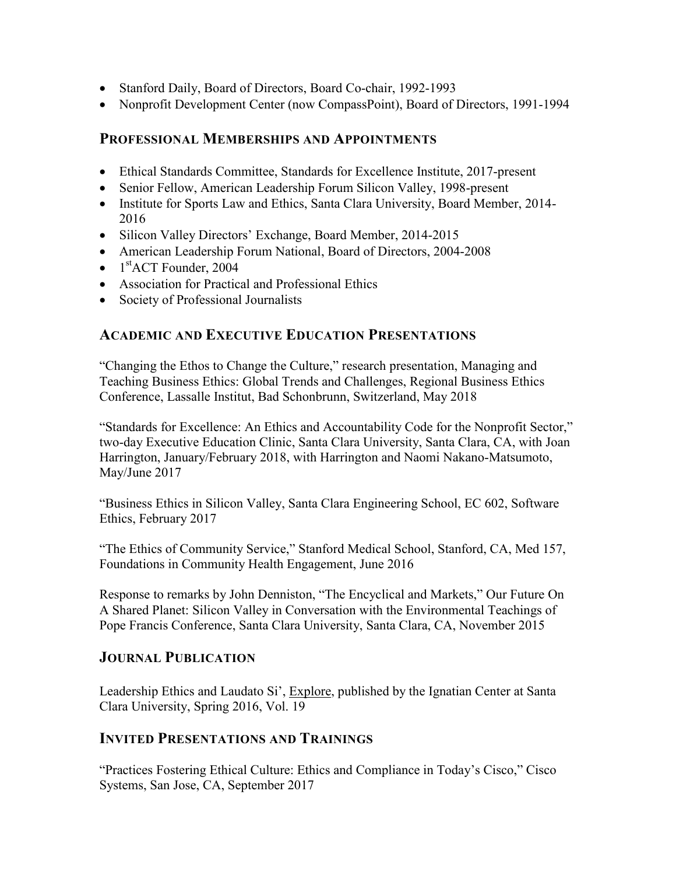- Stanford Daily, Board of Directors, Board Co-chair, 1992-1993
- Nonprofit Development Center (now CompassPoint), Board of Directors, 1991-1994

## **PROFESSIONAL MEMBERSHIPS AND APPOINTMENTS**

- Ethical Standards Committee, Standards for Excellence Institute, 2017-present
- Senior Fellow, American Leadership Forum Silicon Valley, 1998-present
- Institute for Sports Law and Ethics, Santa Clara University, Board Member, 2014-2016
- Silicon Valley Directors' Exchange, Board Member, 2014-2015
- American Leadership Forum National, Board of Directors, 2004-2008
- 1<sup>st</sup>ACT Founder, 2004
- Association for Practical and Professional Ethics
- Society of Professional Journalists

## **ACADEMIC AND EXECUTIVE EDUCATION PRESENTATIONS**

"Changing the Ethos to Change the Culture," research presentation, Managing and Teaching Business Ethics: Global Trends and Challenges, Regional Business Ethics Conference, Lassalle Institut, Bad Schonbrunn, Switzerland, May 2018

"Standards for Excellence: An Ethics and Accountability Code for the Nonprofit Sector," two-day Executive Education Clinic, Santa Clara University, Santa Clara, CA, with Joan Harrington, January/February 2018, with Harrington and Naomi Nakano-Matsumoto, May/June 2017

"Business Ethics in Silicon Valley, Santa Clara Engineering School, EC 602, Software Ethics, February 2017

"The Ethics of Community Service," Stanford Medical School, Stanford, CA, Med 157, Foundations in Community Health Engagement, June 2016

Response to remarks by John Denniston, "The Encyclical and Markets," Our Future On A Shared Planet: Silicon Valley in Conversation with the Environmental Teachings of Pope Francis Conference, Santa Clara University, Santa Clara, CA, November 2015

## **JOURNAL PUBLICATION**

Leadership Ethics and Laudato Si', Explore, published by the Ignatian Center at Santa Clara University, Spring 2016, Vol. 19

## **INVITED PRESENTATIONS AND TRAININGS**

"Practices Fostering Ethical Culture: Ethics and Compliance in Today's Cisco," Cisco Systems, San Jose, CA, September 2017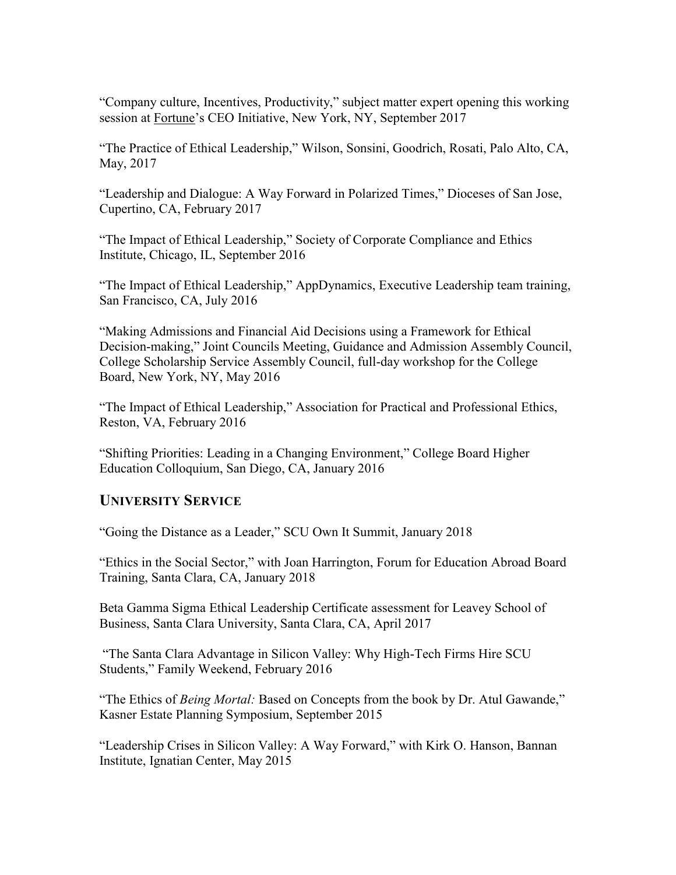"Company culture, Incentives, Productivity," subject matter expert opening this working session at Fortune's CEO Initiative, New York, NY, September 2017

"The Practice of Ethical Leadership," Wilson, Sonsini, Goodrich, Rosati, Palo Alto, CA, May, 2017

"Leadership and Dialogue: A Way Forward in Polarized Times," Dioceses of San Jose, Cupertino, CA, February 2017

"The Impact of Ethical Leadership," Society of Corporate Compliance and Ethics Institute, Chicago, IL, September 2016

"The Impact of Ethical Leadership," AppDynamics, Executive Leadership team training, San Francisco, CA, July 2016

"Making Admissions and Financial Aid Decisions using a Framework for Ethical Decision-making," Joint Councils Meeting, Guidance and Admission Assembly Council, College Scholarship Service Assembly Council, full-day workshop for the College Board, New York, NY, May 2016

"The Impact of Ethical Leadership," Association for Practical and Professional Ethics, Reston, VA, February 2016

"Shifting Priorities: Leading in a Changing Environment," College Board Higher Education Colloquium, San Diego, CA, January 2016

## **UNIVERSITY SERVICE**

"Going the Distance as a Leader," SCU Own It Summit, January 2018

"Ethics in the Social Sector," with Joan Harrington, Forum for Education Abroad Board Training, Santa Clara, CA, January 2018

Beta Gamma Sigma Ethical Leadership Certificate assessment for Leavey School of Business, Santa Clara University, Santa Clara, CA, April 2017

"The Santa Clara Advantage in Silicon Valley: Why High-Tech Firms Hire SCU Students," Family Weekend, February 2016

"The Ethics of *Being Mortal:* Based on Concepts from the book by Dr. Atul Gawande," Kasner Estate Planning Symposium, September 2015

"Leadership Crises in Silicon Valley: A Way Forward," with Kirk O. Hanson, Bannan Institute, Ignatian Center, May 2015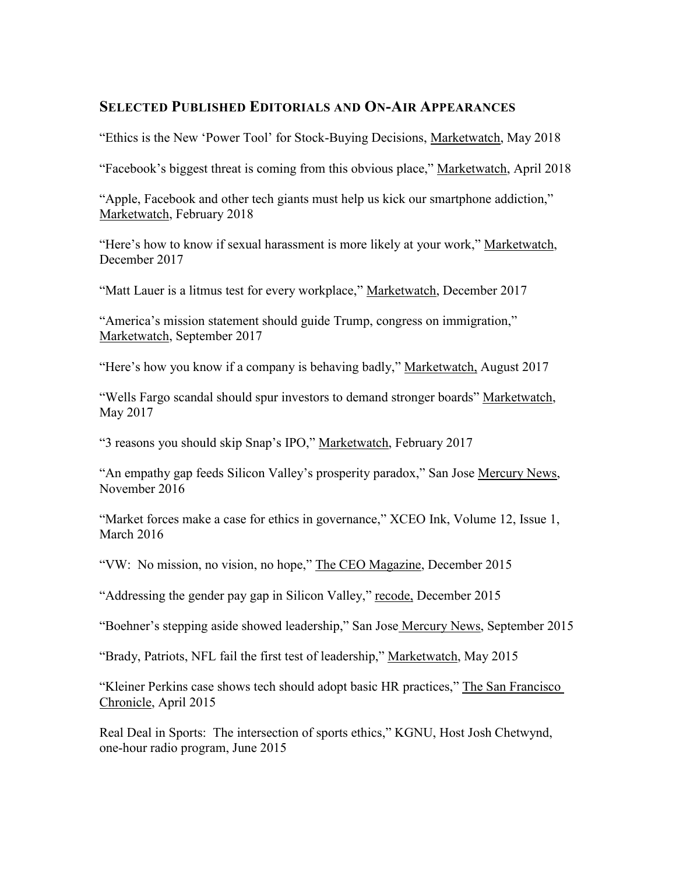#### **SELECTED PUBLISHED EDITORIALS AND ON-AIR APPEARANCES**

"Ethics is the New 'Power Tool' for Stock-Buying Decisions, Marketwatch, May 2018

"Facebook's biggest threat is coming from this obvious place," Marketwatch, April 2018

"Apple, Facebook and other tech giants must help us kick our smartphone addiction," Marketwatch, February 2018

"Here's how to know if sexual harassment is more likely at your work," Marketwatch, December 2017

"Matt Lauer is a litmus test for every workplace," Marketwatch, December 2017

"America's mission statement should guide Trump, congress on immigration," Marketwatch, September 2017

"Here's how you know if a company is behaving badly," Marketwatch, August 2017

"Wells Fargo scandal should spur investors to demand stronger boards" Marketwatch, May 2017

"3 reasons you should skip Snap's IPO," Marketwatch, February 2017

"An empathy gap feeds Silicon Valley's prosperity paradox," San Jose Mercury News, November 2016

"Market forces make a case for ethics in governance," XCEO Ink, Volume 12, Issue 1, March 2016

"VW: No mission, no vision, no hope," The CEO Magazine, December 2015

"Addressing the gender pay gap in Silicon Valley," recode, December 2015

"Boehner's stepping aside showed leadership," San Jose Mercury News, September 2015

"Brady, Patriots, NFL fail the first test of leadership," Marketwatch, May 2015

"Kleiner Perkins case shows tech should adopt basic HR practices," The San Francisco Chronicle, April 2015

Real Deal in Sports: The intersection of sports ethics," KGNU, Host Josh Chetwynd, one-hour radio program, June 2015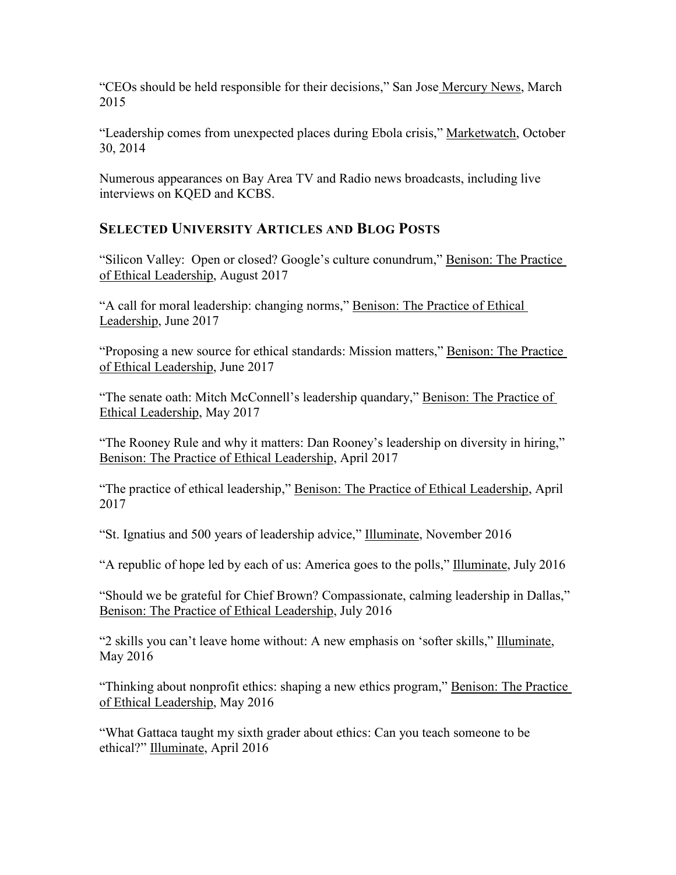"CEOs should be held responsible for their decisions," San Jose Mercury News, March 2015

"Leadership comes from unexpected places during Ebola crisis," Marketwatch, October 30, 2014

Numerous appearances on Bay Area TV and Radio news broadcasts, including live interviews on KQED and KCBS.

# **SELECTED UNIVERSITY ARTICLES AND BLOG POSTS**

"Silicon Valley: Open or closed? Google's culture conundrum," Benison: The Practice of Ethical Leadership, August 2017

"A call for moral leadership: changing norms," Benison: The Practice of Ethical Leadership, June 2017

"Proposing a new source for ethical standards: Mission matters," Benison: The Practice of Ethical Leadership, June 2017

"The senate oath: Mitch McConnell's leadership quandary," Benison: The Practice of Ethical Leadership, May 2017

"The Rooney Rule and why it matters: Dan Rooney's leadership on diversity in hiring," Benison: The Practice of Ethical Leadership, April 2017

"The practice of ethical leadership," Benison: The Practice of Ethical Leadership, April 2017

"St. Ignatius and 500 years of leadership advice," Illuminate, November 2016

"A republic of hope led by each of us: America goes to the polls," Illuminate, July 2016

"Should we be grateful for Chief Brown? Compassionate, calming leadership in Dallas," Benison: The Practice of Ethical Leadership, July 2016

"2 skills you can't leave home without: A new emphasis on 'softer skills," Illuminate, May 2016

"Thinking about nonprofit ethics: shaping a new ethics program," Benison: The Practice of Ethical Leadership, May 2016

"What Gattaca taught my sixth grader about ethics: Can you teach someone to be ethical?" Illuminate, April 2016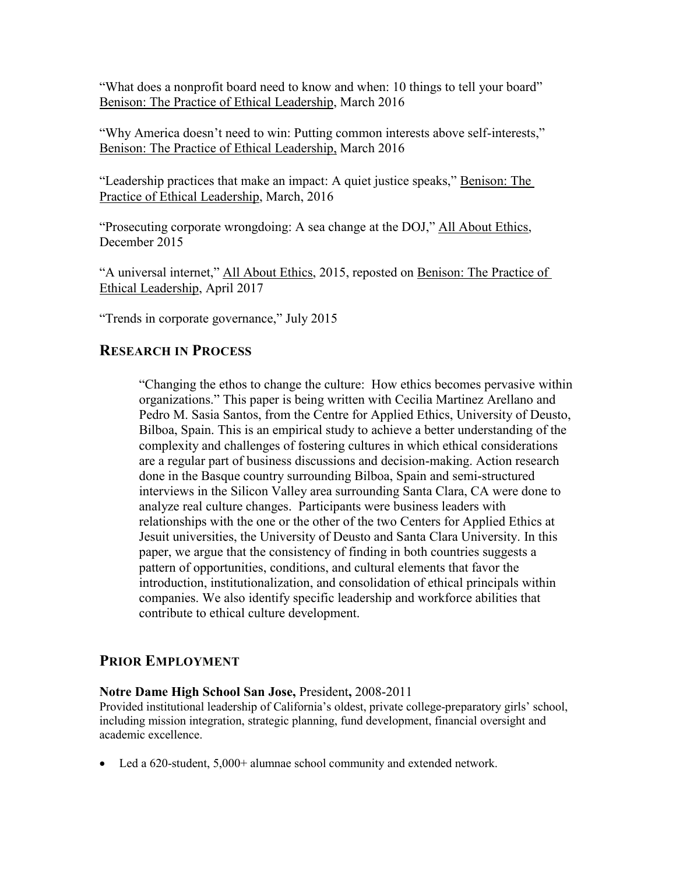"What does a nonprofit board need to know and when: 10 things to tell your board" Benison: The Practice of Ethical Leadership, March 2016

"Why America doesn't need to win: Putting common interests above self-interests," Benison: The Practice of Ethical Leadership, March 2016

"Leadership practices that make an impact: A quiet justice speaks," Benison: The Practice of Ethical Leadership, March, 2016

"Prosecuting corporate wrongdoing: A sea change at the DOJ," All About Ethics, December 2015

"A universal internet," All About Ethics, 2015, reposted on Benison: The Practice of Ethical Leadership, April 2017

"Trends in corporate governance," July 2015

## **RESEARCH IN PROCESS**

"Changing the ethos to change the culture: How ethics becomes pervasive within organizations." This paper is being written with Cecilia Martinez Arellano and Pedro M. Sasia Santos, from the Centre for Applied Ethics, University of Deusto, Bilboa, Spain. This is an empirical study to achieve a better understanding of the complexity and challenges of fostering cultures in which ethical considerations are a regular part of business discussions and decision-making. Action research done in the Basque country surrounding Bilboa, Spain and semi-structured interviews in the Silicon Valley area surrounding Santa Clara, CA were done to analyze real culture changes. Participants were business leaders with relationships with the one or the other of the two Centers for Applied Ethics at Jesuit universities, the University of Deusto and Santa Clara University. In this paper, we argue that the consistency of finding in both countries suggests a pattern of opportunities, conditions, and cultural elements that favor the introduction, institutionalization, and consolidation of ethical principals within companies. We also identify specific leadership and workforce abilities that contribute to ethical culture development.

## **PRIOR EMPLOYMENT**

#### **Notre Dame High School San Jose,** President**,** 2008-2011

Provided institutional leadership of California's oldest, private college-preparatory girls' school, including mission integration, strategic planning, fund development, financial oversight and academic excellence.

Led a 620-student, 5,000+ alumnae school community and extended network.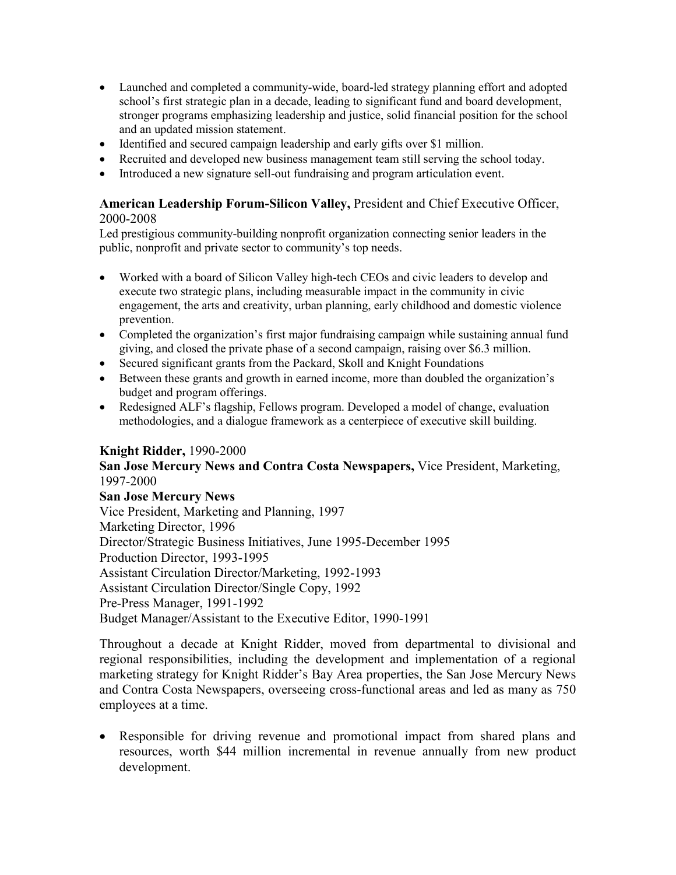- Launched and completed a community-wide, board-led strategy planning effort and adopted school's first strategic plan in a decade, leading to significant fund and board development, stronger programs emphasizing leadership and justice, solid financial position for the school and an updated mission statement.
- Identified and secured campaign leadership and early gifts over \$1 million.
- Recruited and developed new business management team still serving the school today.
- Introduced a new signature sell-out fundraising and program articulation event.

#### **American Leadership Forum-Silicon Valley,** President and Chief Executive Officer, 2000-2008

Led prestigious community-building nonprofit organization connecting senior leaders in the public, nonprofit and private sector to community's top needs.

- Worked with a board of Silicon Valley high-tech CEOs and civic leaders to develop and execute two strategic plans, including measurable impact in the community in civic engagement, the arts and creativity, urban planning, early childhood and domestic violence prevention.
- Completed the organization's first major fundraising campaign while sustaining annual fund giving, and closed the private phase of a second campaign, raising over \$6.3 million.
- Secured significant grants from the Packard, Skoll and Knight Foundations
- Between these grants and growth in earned income, more than doubled the organization's budget and program offerings.
- Redesigned ALF's flagship, Fellows program. Developed a model of change, evaluation methodologies, and a dialogue framework as a centerpiece of executive skill building.

#### **Knight Ridder,** 1990-2000

**San Jose Mercury News and Contra Costa Newspapers,** Vice President, Marketing, 1997-2000

**San Jose Mercury News** Vice President, Marketing and Planning, 1997 Marketing Director, 1996 Director/Strategic Business Initiatives, June 1995-December 1995 Production Director, 1993-1995 Assistant Circulation Director/Marketing, 1992-1993 Assistant Circulation Director/Single Copy, 1992 Pre-Press Manager, 1991-1992 Budget Manager/Assistant to the Executive Editor, 1990-1991

Throughout a decade at Knight Ridder, moved from departmental to divisional and regional responsibilities, including the development and implementation of a regional marketing strategy for Knight Ridder's Bay Area properties, the San Jose Mercury News and Contra Costa Newspapers, overseeing cross-functional areas and led as many as 750 employees at a time.

 Responsible for driving revenue and promotional impact from shared plans and resources, worth \$44 million incremental in revenue annually from new product development.